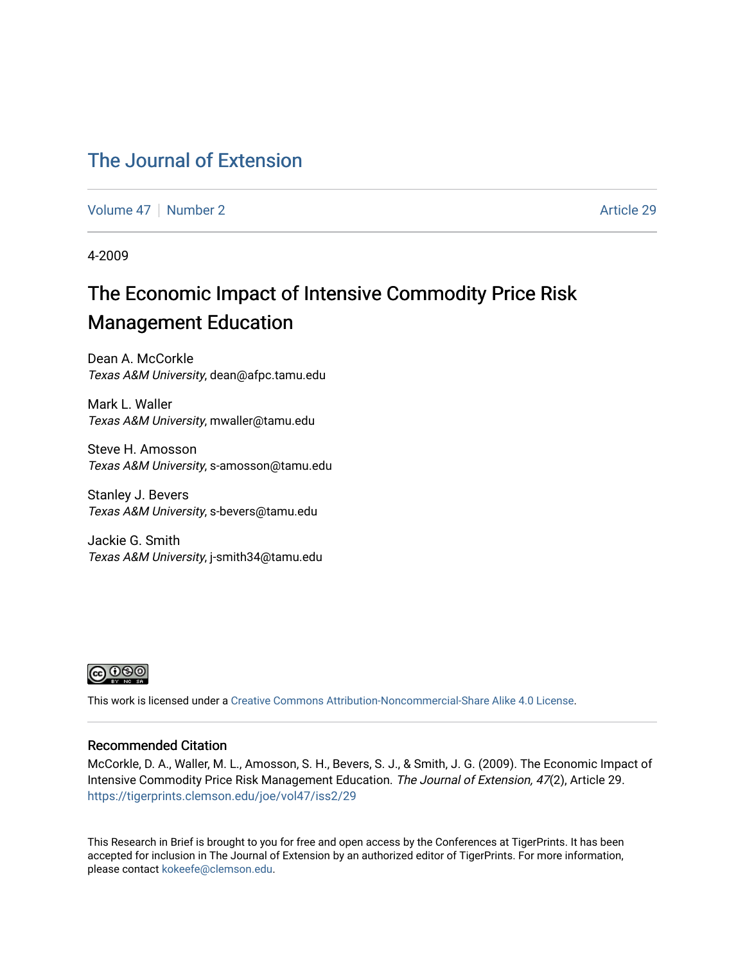### [The Journal of Extension](https://tigerprints.clemson.edu/joe)

[Volume 47](https://tigerprints.clemson.edu/joe/vol47) | [Number 2](https://tigerprints.clemson.edu/joe/vol47/iss2) Article 29

4-2009

# The Economic Impact of Intensive Commodity Price Risk Management Education

Dean A. McCorkle Texas A&M University, dean@afpc.tamu.edu

Mark L. Waller Texas A&M University, mwaller@tamu.edu

Steve H. Amosson Texas A&M University, s-amosson@tamu.edu

Stanley J. Bevers Texas A&M University, s-bevers@tamu.edu

Jackie G. Smith Texas A&M University, j-smith34@tamu.edu



This work is licensed under a [Creative Commons Attribution-Noncommercial-Share Alike 4.0 License.](https://creativecommons.org/licenses/by-nc-sa/4.0/)

#### Recommended Citation

McCorkle, D. A., Waller, M. L., Amosson, S. H., Bevers, S. J., & Smith, J. G. (2009). The Economic Impact of Intensive Commodity Price Risk Management Education. The Journal of Extension, 47(2), Article 29. <https://tigerprints.clemson.edu/joe/vol47/iss2/29>

This Research in Brief is brought to you for free and open access by the Conferences at TigerPrints. It has been accepted for inclusion in The Journal of Extension by an authorized editor of TigerPrints. For more information, please contact [kokeefe@clemson.edu](mailto:kokeefe@clemson.edu).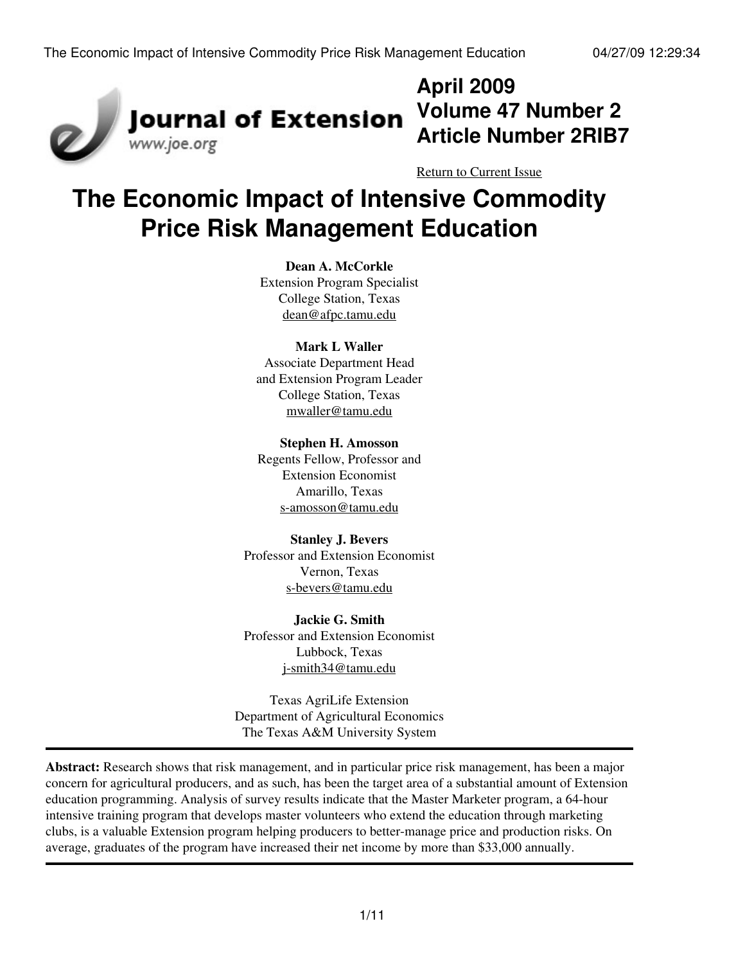

# **April 2009 Volume 47 Number 2 Article Number 2RIB7**

[Return to Current Issue](http://www.joe.org:80/joe/2009april/)

# **The Economic Impact of Intensive Commodity Price Risk Management Education**

#### **Dean A. McCorkle**

Extension Program Specialist College Station, Texas [dean@afpc.tamu.edu](mailto:dean@afpc.tamu.edu)

#### **Mark L Waller**

Associate Department Head and Extension Program Leader College Station, Texas [mwaller@tamu.edu](mailto:mwaller@tamu.edu)

#### **Stephen H. Amosson**

Regents Fellow, Professor and Extension Economist Amarillo, Texas [s-amosson@tamu.edu](mailto:s-amosson@tamu.edu)

#### **Stanley J. Bevers**

Professor and Extension Economist Vernon, Texas [s-bevers@tamu.edu](mailto:s-bevers@tamu.edu)

#### **Jackie G. Smith**

Professor and Extension Economist Lubbock, Texas [j-smith34@tamu.edu](mailto:j-smith34@tamu.edu)

Texas AgriLife Extension Department of Agricultural Economics The Texas A&M University System

**Abstract:** Research shows that risk management, and in particular price risk management, has been a major concern for agricultural producers, and as such, has been the target area of a substantial amount of Extension education programming. Analysis of survey results indicate that the Master Marketer program, a 64-hour intensive training program that develops master volunteers who extend the education through marketing clubs, is a valuable Extension program helping producers to better-manage price and production risks. On average, graduates of the program have increased their net income by more than \$33,000 annually.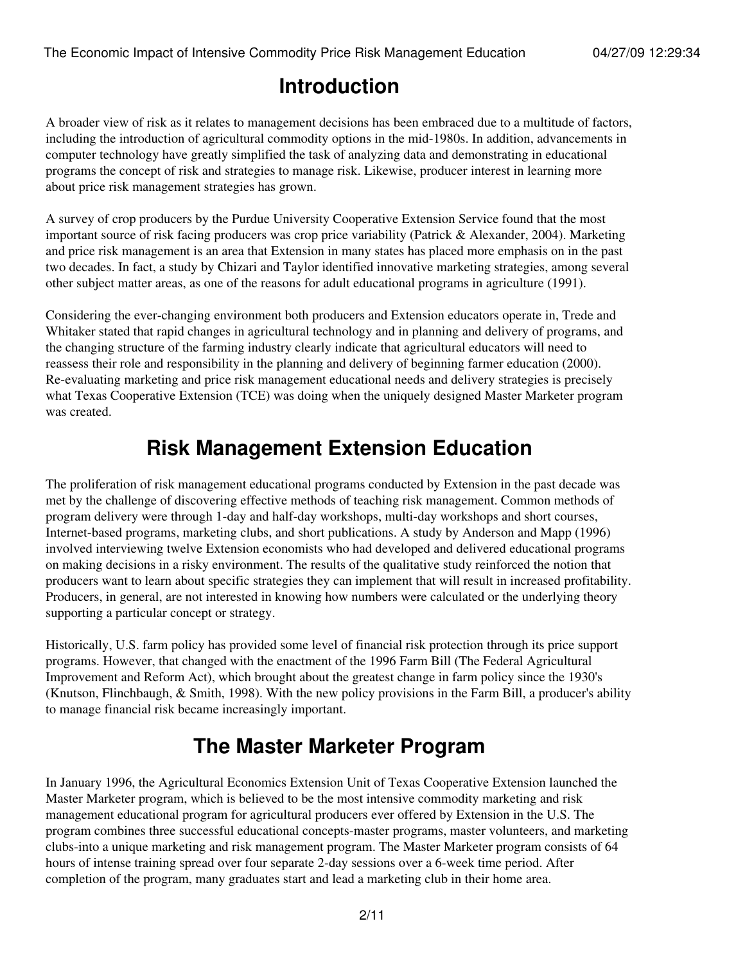# **Introduction**

A broader view of risk as it relates to management decisions has been embraced due to a multitude of factors, including the introduction of agricultural commodity options in the mid-1980s. In addition, advancements in computer technology have greatly simplified the task of analyzing data and demonstrating in educational programs the concept of risk and strategies to manage risk. Likewise, producer interest in learning more about price risk management strategies has grown.

A survey of crop producers by the Purdue University Cooperative Extension Service found that the most important source of risk facing producers was crop price variability (Patrick & Alexander, 2004). Marketing and price risk management is an area that Extension in many states has placed more emphasis on in the past two decades. In fact, a study by Chizari and Taylor identified innovative marketing strategies, among several other subject matter areas, as one of the reasons for adult educational programs in agriculture (1991).

Considering the ever-changing environment both producers and Extension educators operate in, Trede and Whitaker stated that rapid changes in agricultural technology and in planning and delivery of programs, and the changing structure of the farming industry clearly indicate that agricultural educators will need to reassess their role and responsibility in the planning and delivery of beginning farmer education (2000). Re-evaluating marketing and price risk management educational needs and delivery strategies is precisely what Texas Cooperative Extension (TCE) was doing when the uniquely designed Master Marketer program was created.

# **Risk Management Extension Education**

The proliferation of risk management educational programs conducted by Extension in the past decade was met by the challenge of discovering effective methods of teaching risk management. Common methods of program delivery were through 1-day and half-day workshops, multi-day workshops and short courses, Internet-based programs, marketing clubs, and short publications. A study by Anderson and Mapp (1996) involved interviewing twelve Extension economists who had developed and delivered educational programs on making decisions in a risky environment. The results of the qualitative study reinforced the notion that producers want to learn about specific strategies they can implement that will result in increased profitability. Producers, in general, are not interested in knowing how numbers were calculated or the underlying theory supporting a particular concept or strategy.

Historically, U.S. farm policy has provided some level of financial risk protection through its price support programs. However, that changed with the enactment of the 1996 Farm Bill (The Federal Agricultural Improvement and Reform Act), which brought about the greatest change in farm policy since the 1930's (Knutson, Flinchbaugh, & Smith, 1998). With the new policy provisions in the Farm Bill, a producer's ability to manage financial risk became increasingly important.

# **The Master Marketer Program**

In January 1996, the Agricultural Economics Extension Unit of Texas Cooperative Extension launched the Master Marketer program, which is believed to be the most intensive commodity marketing and risk management educational program for agricultural producers ever offered by Extension in the U.S. The program combines three successful educational concepts-master programs, master volunteers, and marketing clubs-into a unique marketing and risk management program. The Master Marketer program consists of 64 hours of intense training spread over four separate 2-day sessions over a 6-week time period. After completion of the program, many graduates start and lead a marketing club in their home area.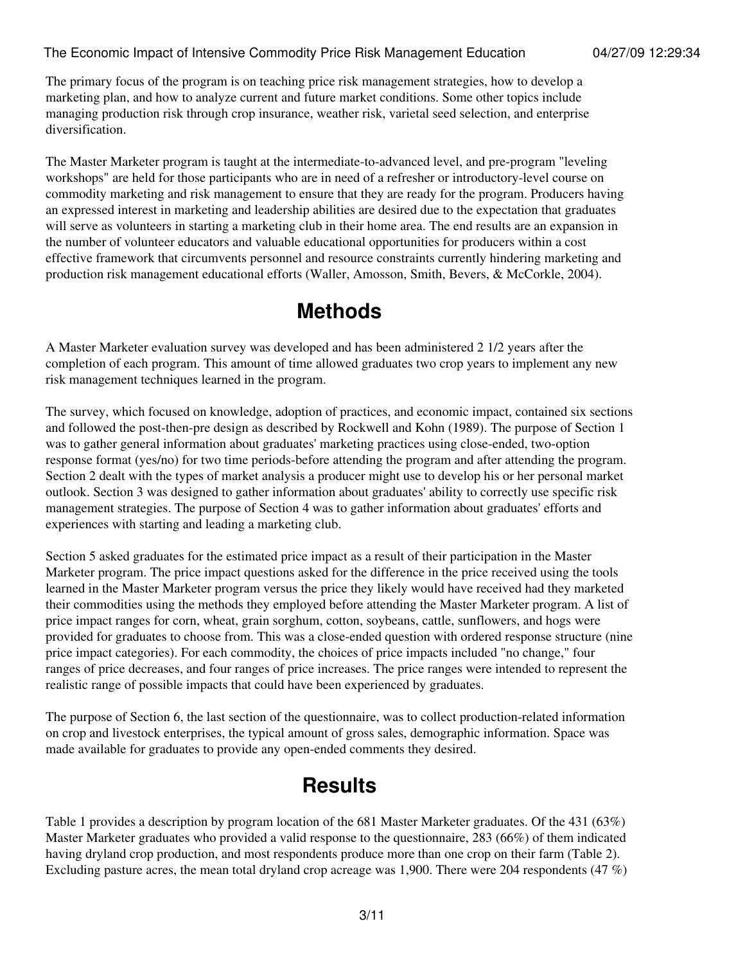The primary focus of the program is on teaching price risk management strategies, how to develop a marketing plan, and how to analyze current and future market conditions. Some other topics include managing production risk through crop insurance, weather risk, varietal seed selection, and enterprise diversification.

The Master Marketer program is taught at the intermediate-to-advanced level, and pre-program "leveling workshops" are held for those participants who are in need of a refresher or introductory-level course on commodity marketing and risk management to ensure that they are ready for the program. Producers having an expressed interest in marketing and leadership abilities are desired due to the expectation that graduates will serve as volunteers in starting a marketing club in their home area. The end results are an expansion in the number of volunteer educators and valuable educational opportunities for producers within a cost effective framework that circumvents personnel and resource constraints currently hindering marketing and production risk management educational efforts (Waller, Amosson, Smith, Bevers, & McCorkle, 2004).

# **Methods**

A Master Marketer evaluation survey was developed and has been administered 2 1/2 years after the completion of each program. This amount of time allowed graduates two crop years to implement any new risk management techniques learned in the program.

The survey, which focused on knowledge, adoption of practices, and economic impact, contained six sections and followed the post-then-pre design as described by Rockwell and Kohn (1989). The purpose of Section 1 was to gather general information about graduates' marketing practices using close-ended, two-option response format (yes/no) for two time periods-before attending the program and after attending the program. Section 2 dealt with the types of market analysis a producer might use to develop his or her personal market outlook. Section 3 was designed to gather information about graduates' ability to correctly use specific risk management strategies. The purpose of Section 4 was to gather information about graduates' efforts and experiences with starting and leading a marketing club.

Section 5 asked graduates for the estimated price impact as a result of their participation in the Master Marketer program. The price impact questions asked for the difference in the price received using the tools learned in the Master Marketer program versus the price they likely would have received had they marketed their commodities using the methods they employed before attending the Master Marketer program. A list of price impact ranges for corn, wheat, grain sorghum, cotton, soybeans, cattle, sunflowers, and hogs were provided for graduates to choose from. This was a close-ended question with ordered response structure (nine price impact categories). For each commodity, the choices of price impacts included "no change," four ranges of price decreases, and four ranges of price increases. The price ranges were intended to represent the realistic range of possible impacts that could have been experienced by graduates.

The purpose of Section 6, the last section of the questionnaire, was to collect production-related information on crop and livestock enterprises, the typical amount of gross sales, demographic information. Space was made available for graduates to provide any open-ended comments they desired.

# **Results**

Table 1 provides a description by program location of the 681 Master Marketer graduates. Of the 431 (63%) Master Marketer graduates who provided a valid response to the questionnaire, 283 (66%) of them indicated having dryland crop production, and most respondents produce more than one crop on their farm (Table 2). Excluding pasture acres, the mean total dryland crop acreage was 1,900. There were 204 respondents (47 %)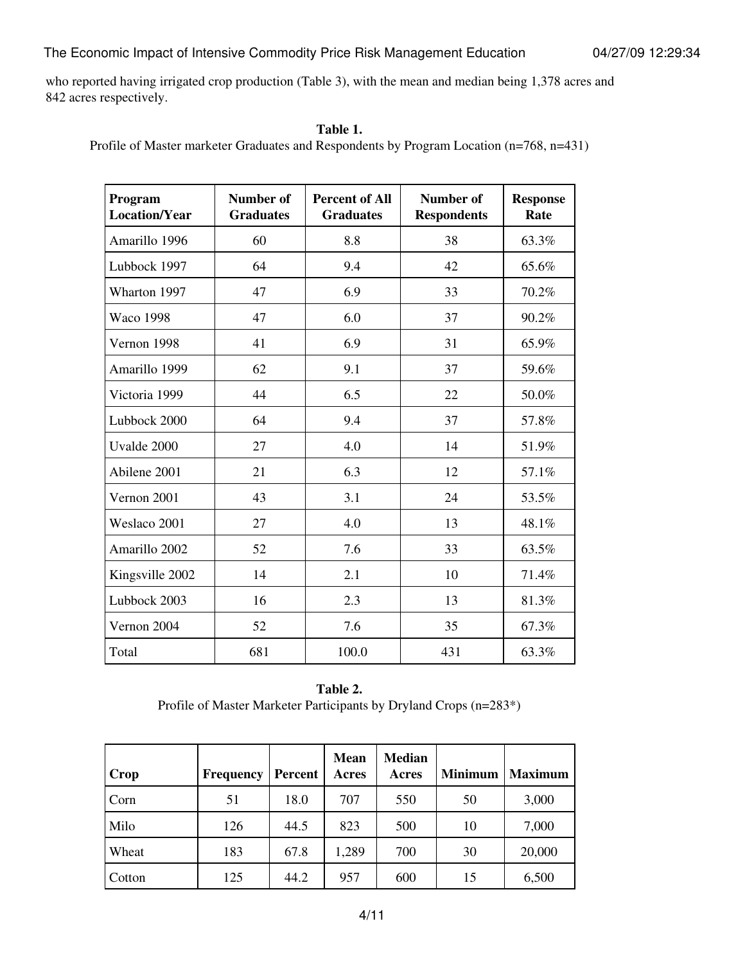who reported having irrigated crop production (Table 3), with the mean and median being 1,378 acres and 842 acres respectively.

#### **Table 1.**

Profile of Master marketer Graduates and Respondents by Program Location (n=768, n=431)

| Program<br><b>Location/Year</b> | <b>Number of</b><br><b>Graduates</b> | <b>Percent of All</b><br><b>Graduates</b> | <b>Number of</b><br><b>Respondents</b> | <b>Response</b><br>Rate |
|---------------------------------|--------------------------------------|-------------------------------------------|----------------------------------------|-------------------------|
| Amarillo 1996                   | 60                                   | 8.8                                       | 38                                     | 63.3%                   |
| Lubbock 1997                    | 64                                   | 9.4                                       | 42                                     | 65.6%                   |
| Wharton 1997                    | 47                                   | 6.9                                       | 33                                     | 70.2%                   |
| <b>Waco 1998</b>                | 47                                   | 6.0                                       | 37                                     | 90.2%                   |
| Vernon 1998                     | 41                                   | 6.9                                       | 31                                     | 65.9%                   |
| Amarillo 1999                   | 62                                   | 9.1                                       | 37                                     | 59.6%                   |
| Victoria 1999                   | 44                                   | 6.5                                       | 22                                     | 50.0%                   |
| Lubbock 2000                    | 64                                   | 9.4                                       | 37                                     | 57.8%                   |
| Uvalde 2000                     | 27                                   | 4.0                                       | 14                                     | 51.9%                   |
| Abilene 2001                    | 21                                   | 6.3                                       | 12                                     | 57.1%                   |
| Vernon 2001                     | 43                                   | 3.1                                       | 24                                     | 53.5%                   |
| Weslaco 2001                    | 27                                   | 4.0                                       | 13                                     | 48.1%                   |
| Amarillo 2002                   | 52                                   | 7.6                                       | 33                                     | 63.5%                   |
| Kingsville 2002                 | 14                                   | 2.1                                       | 10                                     | 71.4%                   |
| Lubbock 2003                    | 16                                   | 2.3                                       | 13                                     | 81.3%                   |
| Vernon 2004                     | 52                                   | 7.6                                       | 35                                     | 67.3%                   |
| Total                           | 681                                  | 100.0                                     | 431                                    | 63.3%                   |

### **Table 2.**

Profile of Master Marketer Participants by Dryland Crops (n=283\*)

| Crop   | <b>Frequency</b> | <b>Percent</b> | <b>Mean</b><br>Acres | <b>Median</b><br>Acres | <b>Minimum</b> | <b>Maximum</b> |
|--------|------------------|----------------|----------------------|------------------------|----------------|----------------|
| Corn   | 51               | 18.0           | 707                  | 550                    | 50             | 3,000          |
| Milo   | 126              | 44.5           | 823                  | 500                    | 10             | 7,000          |
| Wheat  | 183              | 67.8           | 1,289                | 700                    | 30             | 20,000         |
| Cotton | 125              | 44.2           | 957                  | 600                    | 15             | 6,500          |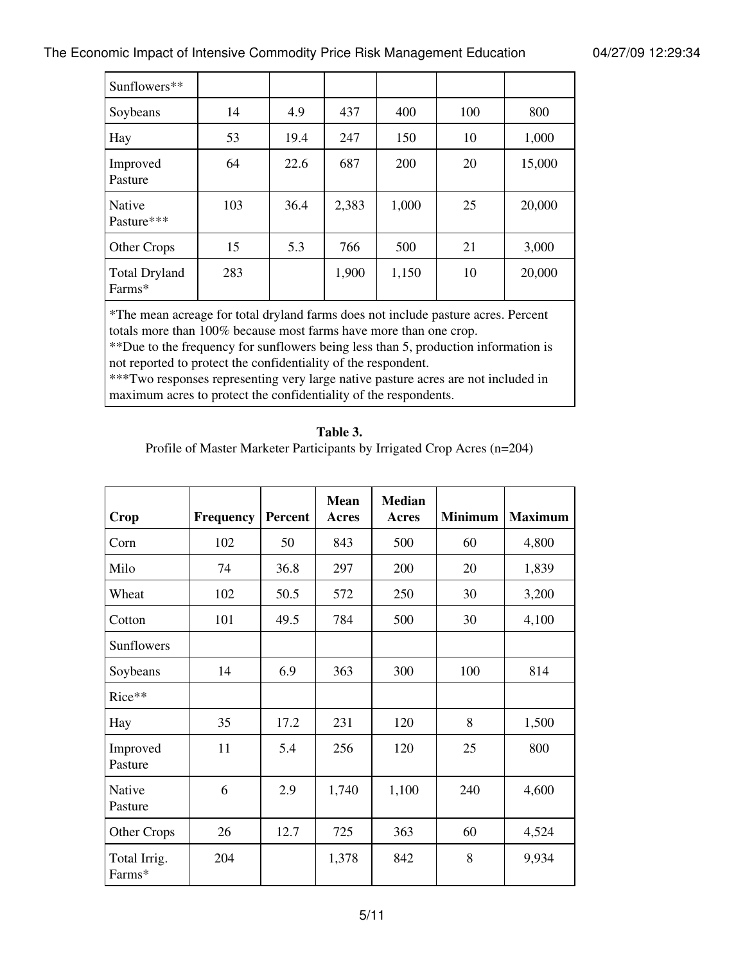| Sunflowers**                   |     |      |       |       |     |        |
|--------------------------------|-----|------|-------|-------|-----|--------|
| Soybeans                       | 14  | 4.9  | 437   | 400   | 100 | 800    |
| Hay                            | 53  | 19.4 | 247   | 150   | 10  | 1,000  |
| Improved<br>Pasture            | 64  | 22.6 | 687   | 200   | 20  | 15,000 |
| Native<br>Pasture***           | 103 | 36.4 | 2,383 | 1,000 | 25  | 20,000 |
| Other Crops                    | 15  | 5.3  | 766   | 500   | 21  | 3,000  |
| <b>Total Dryland</b><br>Farms* | 283 |      | 1,900 | 1,150 | 10  | 20,000 |

\*The mean acreage for total dryland farms does not include pasture acres. Percent totals more than 100% because most farms have more than one crop.

\*\*Due to the frequency for sunflowers being less than 5, production information is not reported to protect the confidentiality of the respondent.

\*\*\*Two responses representing very large native pasture acres are not included in maximum acres to protect the confidentiality of the respondents.

#### **Table 3.**

Profile of Master Marketer Participants by Irrigated Crop Acres (n=204)

| Crop                   | Frequency | <b>Percent</b> | <b>Mean</b><br>Acres | <b>Median</b><br><b>Acres</b> | <b>Minimum</b> | <b>Maximum</b> |
|------------------------|-----------|----------------|----------------------|-------------------------------|----------------|----------------|
| Corn                   | 102       | 50             | 843                  | 500                           | 60             | 4,800          |
| Milo                   | 74        | 36.8           | 297                  | 200                           | 20             | 1,839          |
| Wheat                  | 102       | 50.5           | 572                  | 250                           | 30             | 3,200          |
| Cotton                 | 101       | 49.5           | 784                  | 500                           | 30             | 4,100          |
| Sunflowers             |           |                |                      |                               |                |                |
| Soybeans               | 14        | 6.9            | 363                  | 300                           | 100            | 814            |
| Rice**                 |           |                |                      |                               |                |                |
| Hay                    | 35        | 17.2           | 231                  | 120                           | 8              | 1,500          |
| Improved<br>Pasture    | 11        | 5.4            | 256                  | 120                           | 25             | 800            |
| Native<br>Pasture      | 6         | 2.9            | 1,740                | 1,100                         | 240            | 4,600          |
| Other Crops            | 26        | 12.7           | 725                  | 363                           | 60             | 4,524          |
| Total Irrig.<br>Farms* | 204       |                | 1,378                | 842                           | 8              | 9,934          |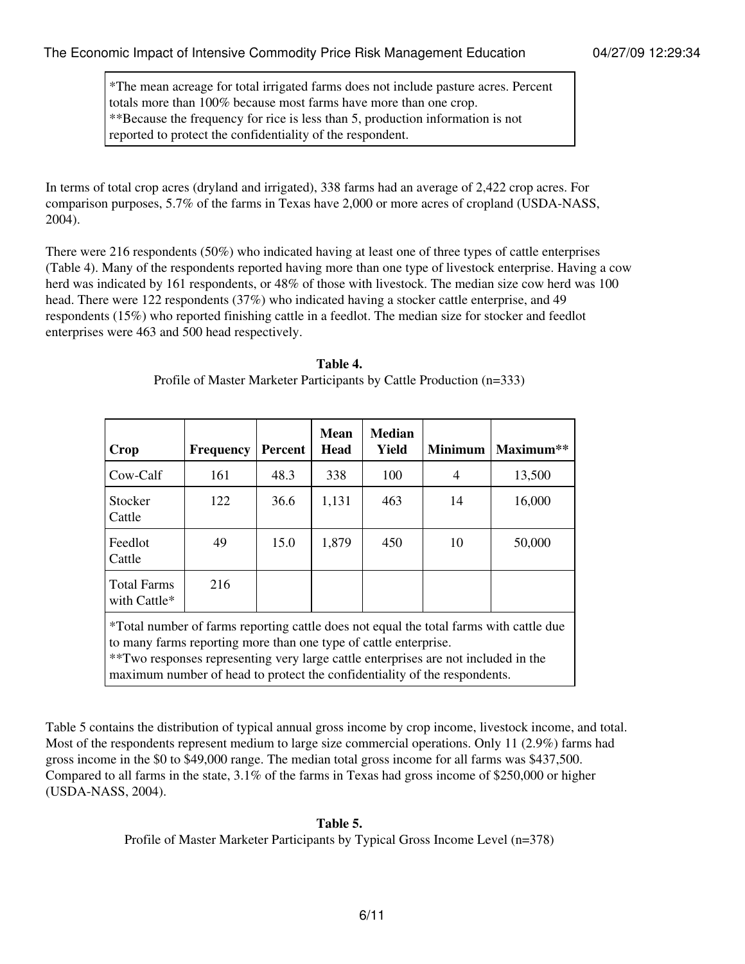\*The mean acreage for total irrigated farms does not include pasture acres. Percent totals more than 100% because most farms have more than one crop. \*\*Because the frequency for rice is less than 5, production information is not reported to protect the confidentiality of the respondent.

In terms of total crop acres (dryland and irrigated), 338 farms had an average of 2,422 crop acres. For comparison purposes, 5.7% of the farms in Texas have 2,000 or more acres of cropland (USDA-NASS, 2004).

There were 216 respondents (50%) who indicated having at least one of three types of cattle enterprises (Table 4). Many of the respondents reported having more than one type of livestock enterprise. Having a cow herd was indicated by 161 respondents, or 48% of those with livestock. The median size cow herd was 100 head. There were 122 respondents (37%) who indicated having a stocker cattle enterprise, and 49 respondents (15%) who reported finishing cattle in a feedlot. The median size for stocker and feedlot enterprises were 463 and 500 head respectively.

| Crop                                                                                                                                                                                                                                                                                                                          | <b>Frequency</b> | <b>Percent</b> | <b>Mean</b><br><b>Head</b> | <b>Median</b><br>Yield | <b>Minimum</b> | Maximum** |  |  |
|-------------------------------------------------------------------------------------------------------------------------------------------------------------------------------------------------------------------------------------------------------------------------------------------------------------------------------|------------------|----------------|----------------------------|------------------------|----------------|-----------|--|--|
| Cow-Calf                                                                                                                                                                                                                                                                                                                      | 161              | 48.3           | 338                        | 100                    | 4              | 13,500    |  |  |
| Stocker<br>Cattle                                                                                                                                                                                                                                                                                                             | 122              | 36.6           | 1,131                      | 463                    | 14             | 16,000    |  |  |
| Feedlot<br>Cattle                                                                                                                                                                                                                                                                                                             | 49               | 15.0           | 1,879                      | 450                    | 10             | 50,000    |  |  |
| <b>Total Farms</b><br>with Cattle*                                                                                                                                                                                                                                                                                            | 216              |                |                            |                        |                |           |  |  |
| *Total number of farms reporting cattle does not equal the total farms with cattle due<br>to many farms reporting more than one type of cattle enterprise.<br>**Two responses representing very large cattle enterprises are not included in the<br>maximum number of head to protect the confidentiality of the respondents. |                  |                |                            |                        |                |           |  |  |

Profile of Master Marketer Participants by Cattle Production (n=333)

Table 5 contains the distribution of typical annual gross income by crop income, livestock income, and total. Most of the respondents represent medium to large size commercial operations. Only 11 (2.9%) farms had gross income in the \$0 to \$49,000 range. The median total gross income for all farms was \$437,500. Compared to all farms in the state, 3.1% of the farms in Texas had gross income of \$250,000 or higher (USDA-NASS, 2004).

#### **Table 5.**

Profile of Master Marketer Participants by Typical Gross Income Level (n=378)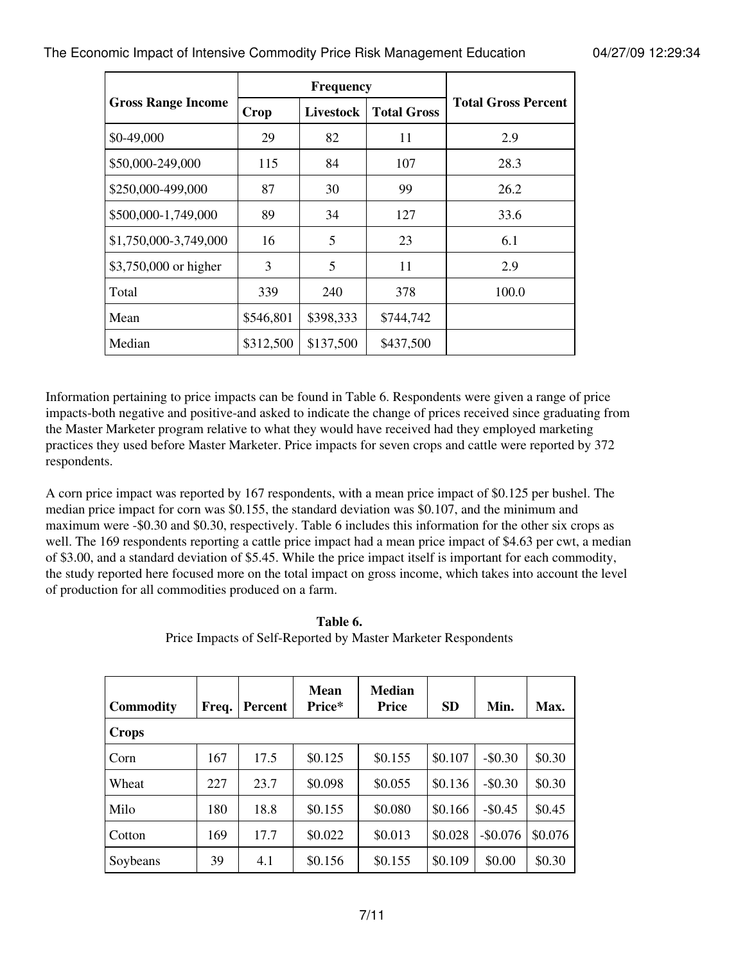|                           |             | <b>Frequency</b> |                    |                            |
|---------------------------|-------------|------------------|--------------------|----------------------------|
| <b>Gross Range Income</b> | <b>Crop</b> | Livestock        | <b>Total Gross</b> | <b>Total Gross Percent</b> |
| \$0-49,000                | 29          | 82               | 11                 | 2.9                        |
| \$50,000-249,000          | 115         | 84               | 107                | 28.3                       |
| \$250,000-499,000         | 87          | 30               | 99                 | 26.2                       |
| \$500,000-1,749,000       | 89          | 34               | 127                | 33.6                       |
| \$1,750,000-3,749,000     | 16          | 5                | 23                 | 6.1                        |
| \$3,750,000 or higher     | 3           | 5                | 11                 | 2.9                        |
| Total                     | 339         | 240              | 378                | 100.0                      |
| Mean                      | \$546,801   | \$398,333        | \$744,742          |                            |
| Median                    | \$312,500   | \$137,500        | \$437,500          |                            |

Information pertaining to price impacts can be found in Table 6. Respondents were given a range of price impacts-both negative and positive-and asked to indicate the change of prices received since graduating from the Master Marketer program relative to what they would have received had they employed marketing practices they used before Master Marketer. Price impacts for seven crops and cattle were reported by 372 respondents.

A corn price impact was reported by 167 respondents, with a mean price impact of \$0.125 per bushel. The median price impact for corn was \$0.155, the standard deviation was \$0.107, and the minimum and maximum were -\$0.30 and \$0.30, respectively. Table 6 includes this information for the other six crops as well. The 169 respondents reporting a cattle price impact had a mean price impact of \$4.63 per cwt, a median of \$3.00, and a standard deviation of \$5.45. While the price impact itself is important for each commodity, the study reported here focused more on the total impact on gross income, which takes into account the level of production for all commodities produced on a farm.

| <b>Commodity</b> | Freq. | <b>Percent</b> | <b>Mean</b><br>Price* | <b>Median</b><br><b>Price</b> | <b>SD</b> | Min.      | Max.    |
|------------------|-------|----------------|-----------------------|-------------------------------|-----------|-----------|---------|
| <b>Crops</b>     |       |                |                       |                               |           |           |         |
| Corn             | 167   | 17.5           | \$0.125               | \$0.155                       | \$0.107   | $-$0.30$  | \$0.30  |
| Wheat            | 227   | 23.7           | \$0.098               | \$0.055                       | \$0.136   | $-$0.30$  | \$0.30  |
| Milo             | 180   | 18.8           | \$0.155               | \$0.080                       | \$0.166   | $-$0.45$  | \$0.45  |
| Cotton           | 169   | 17.7           | \$0.022               | \$0.013                       | \$0.028   | $-$0.076$ | \$0.076 |
| Soybeans         | 39    | 4.1            | \$0.156               | \$0.155                       | \$0.109   | \$0.00    | \$0.30  |

**Table 6.** Price Impacts of Self-Reported by Master Marketer Respondents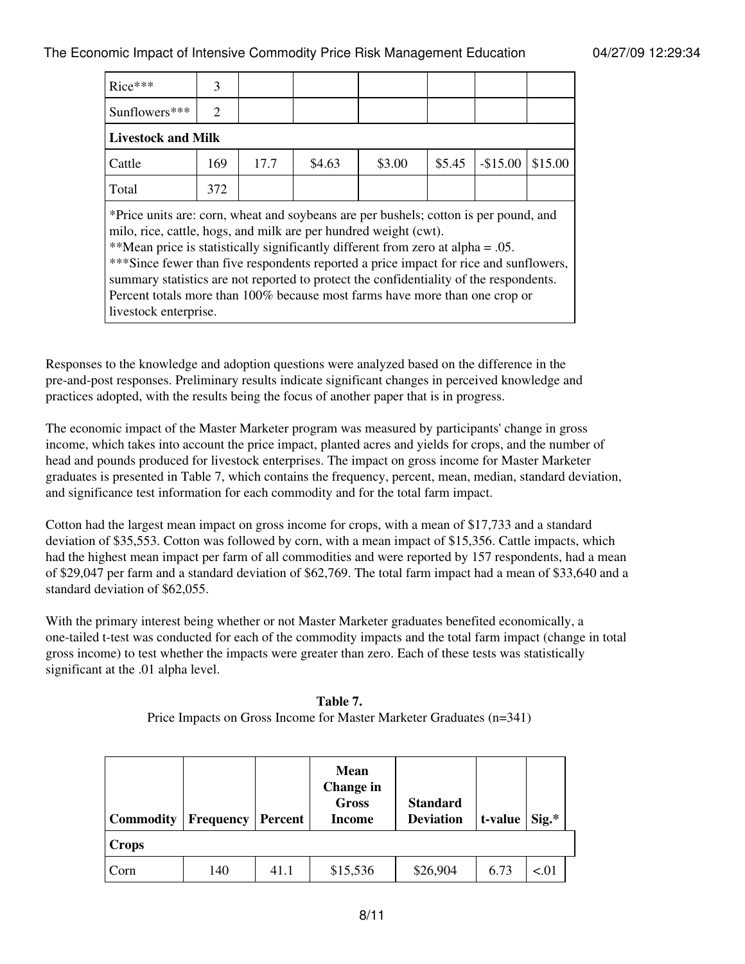| $Rice***$                                                                                                                                                                                                                                                                                                                                                                                                                                                                                                                                 | 3                           |      |        |        |        |           |         |  |  |  |
|-------------------------------------------------------------------------------------------------------------------------------------------------------------------------------------------------------------------------------------------------------------------------------------------------------------------------------------------------------------------------------------------------------------------------------------------------------------------------------------------------------------------------------------------|-----------------------------|------|--------|--------|--------|-----------|---------|--|--|--|
|                                                                                                                                                                                                                                                                                                                                                                                                                                                                                                                                           |                             |      |        |        |        |           |         |  |  |  |
| Sunflowers***                                                                                                                                                                                                                                                                                                                                                                                                                                                                                                                             | $\mathcal{D}_{\mathcal{L}}$ |      |        |        |        |           |         |  |  |  |
| <b>Livestock and Milk</b>                                                                                                                                                                                                                                                                                                                                                                                                                                                                                                                 |                             |      |        |        |        |           |         |  |  |  |
| Cattle                                                                                                                                                                                                                                                                                                                                                                                                                                                                                                                                    | 169                         | 17.7 | \$4.63 | \$3.00 | \$5.45 | $-$15.00$ | \$15.00 |  |  |  |
| Total                                                                                                                                                                                                                                                                                                                                                                                                                                                                                                                                     | 372                         |      |        |        |        |           |         |  |  |  |
| *Price units are: corn, wheat and soybeans are per bushels; cotton is per pound, and<br>milo, rice, cattle, hogs, and milk are per hundred weight (cwt).<br>**Mean price is statistically significantly different from zero at alpha = $.05$ .<br>***Since fewer than five respondents reported a price impact for rice and sunflowers,<br>summary statistics are not reported to protect the confidentiality of the respondents.<br>Percent totals more than 100% because most farms have more than one crop or<br>livestock enterprise. |                             |      |        |        |        |           |         |  |  |  |

Responses to the knowledge and adoption questions were analyzed based on the difference in the pre-and-post responses. Preliminary results indicate significant changes in perceived knowledge and practices adopted, with the results being the focus of another paper that is in progress.

The economic impact of the Master Marketer program was measured by participants' change in gross income, which takes into account the price impact, planted acres and yields for crops, and the number of head and pounds produced for livestock enterprises. The impact on gross income for Master Marketer graduates is presented in Table 7, which contains the frequency, percent, mean, median, standard deviation, and significance test information for each commodity and for the total farm impact.

Cotton had the largest mean impact on gross income for crops, with a mean of \$17,733 and a standard deviation of \$35,553. Cotton was followed by corn, with a mean impact of \$15,356. Cattle impacts, which had the highest mean impact per farm of all commodities and were reported by 157 respondents, had a mean of \$29,047 per farm and a standard deviation of \$62,769. The total farm impact had a mean of \$33,640 and a standard deviation of \$62,055.

With the primary interest being whether or not Master Marketer graduates benefited economically, a one-tailed t-test was conducted for each of the commodity impacts and the total farm impact (change in total gross income) to test whether the impacts were greater than zero. Each of these tests was statistically significant at the .01 alpha level.

| <b>Commodity</b> | <b>Frequency</b> | Percent | <b>Mean</b><br>Change in<br><b>Gross</b><br>Income | <b>Standard</b><br><b>Deviation</b> | t-value | $Sig.*$ |
|------------------|------------------|---------|----------------------------------------------------|-------------------------------------|---------|---------|
| <b>Crops</b>     |                  |         |                                                    |                                     |         |         |
| Corn             | 140              | 41.1    | \$15,536                                           | \$26,904                            | 6.73    | < 01    |

**Table 7.**

Price Impacts on Gross Income for Master Marketer Graduates (n=341)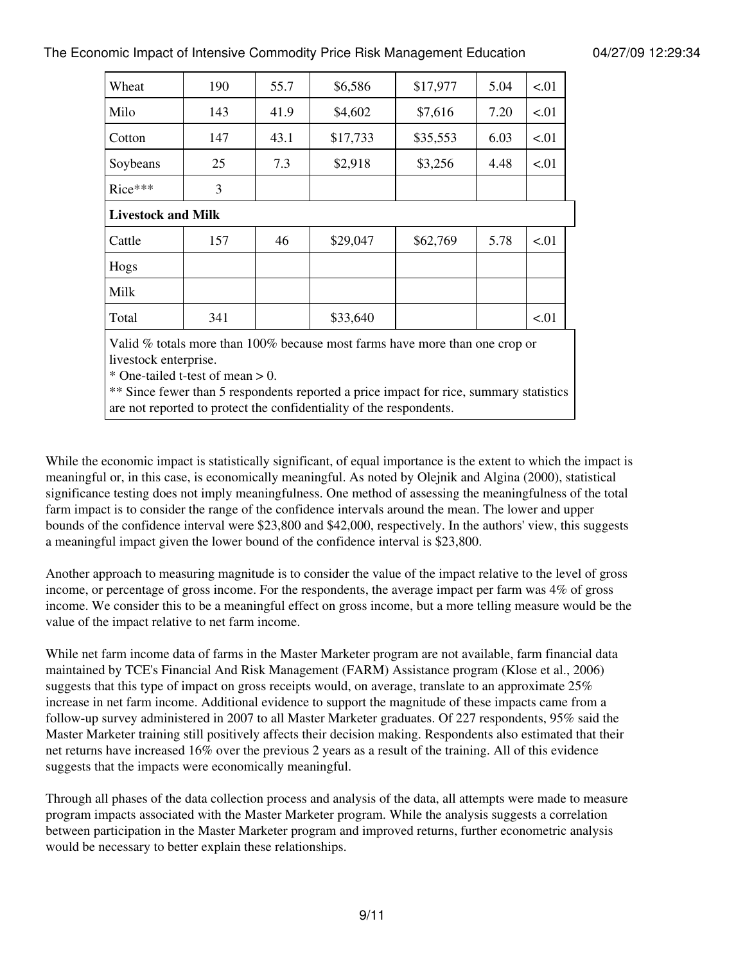| Wheat                     | 190                                                                                                  | 55.7 | \$6,586  | \$17,977 | 5.04 | < 01 |  |  |  |
|---------------------------|------------------------------------------------------------------------------------------------------|------|----------|----------|------|------|--|--|--|
| Milo                      | 143                                                                                                  | 41.9 | \$4,602  | \$7,616  | 7.20 | < 01 |  |  |  |
| Cotton                    | 147                                                                                                  | 43.1 | \$17,733 | \$35,553 | 6.03 | < 01 |  |  |  |
| Soybeans                  | 25                                                                                                   | 7.3  | \$2,918  | \$3,256  | 4.48 | < 01 |  |  |  |
| Rice***                   | 3                                                                                                    |      |          |          |      |      |  |  |  |
| <b>Livestock and Milk</b> |                                                                                                      |      |          |          |      |      |  |  |  |
| Cattle                    | 157                                                                                                  | 46   | \$29,047 | \$62,769 | 5.78 | < 01 |  |  |  |
| Hogs                      |                                                                                                      |      |          |          |      |      |  |  |  |
| Milk                      |                                                                                                      |      |          |          |      |      |  |  |  |
| Total                     | 341                                                                                                  |      | \$33,640 |          |      | < 01 |  |  |  |
|                           | Valid % totals more than 100% because most farms have more than one crop or<br>livestock enterprise. |      |          |          |      |      |  |  |  |

\* One-tailed t-test of mean  $> 0$ .

\*\* Since fewer than 5 respondents reported a price impact for rice, summary statistics are not reported to protect the confidentiality of the respondents.

While the economic impact is statistically significant, of equal importance is the extent to which the impact is meaningful or, in this case, is economically meaningful. As noted by Olejnik and Algina (2000), statistical significance testing does not imply meaningfulness. One method of assessing the meaningfulness of the total farm impact is to consider the range of the confidence intervals around the mean. The lower and upper bounds of the confidence interval were \$23,800 and \$42,000, respectively. In the authors' view, this suggests a meaningful impact given the lower bound of the confidence interval is \$23,800.

Another approach to measuring magnitude is to consider the value of the impact relative to the level of gross income, or percentage of gross income. For the respondents, the average impact per farm was 4% of gross income. We consider this to be a meaningful effect on gross income, but a more telling measure would be the value of the impact relative to net farm income.

While net farm income data of farms in the Master Marketer program are not available, farm financial data maintained by TCE's Financial And Risk Management (FARM) Assistance program (Klose et al., 2006) suggests that this type of impact on gross receipts would, on average, translate to an approximate 25% increase in net farm income. Additional evidence to support the magnitude of these impacts came from a follow-up survey administered in 2007 to all Master Marketer graduates. Of 227 respondents, 95% said the Master Marketer training still positively affects their decision making. Respondents also estimated that their net returns have increased 16% over the previous 2 years as a result of the training. All of this evidence suggests that the impacts were economically meaningful.

Through all phases of the data collection process and analysis of the data, all attempts were made to measure program impacts associated with the Master Marketer program. While the analysis suggests a correlation between participation in the Master Marketer program and improved returns, further econometric analysis would be necessary to better explain these relationships.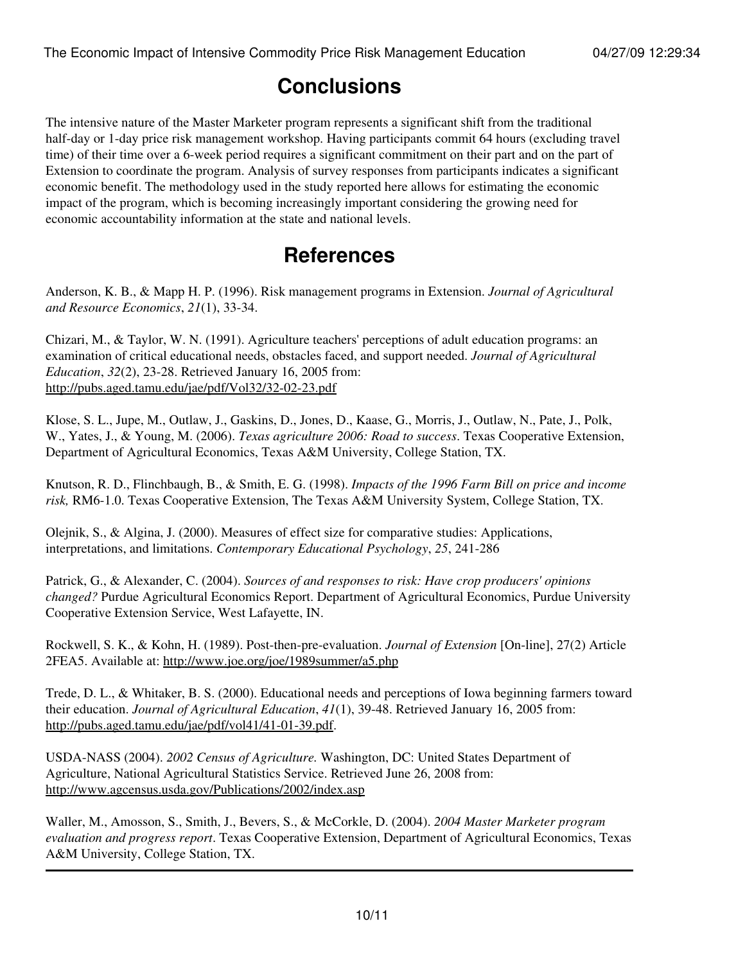# **Conclusions**

The intensive nature of the Master Marketer program represents a significant shift from the traditional half-day or 1-day price risk management workshop. Having participants commit 64 hours (excluding travel time) of their time over a 6-week period requires a significant commitment on their part and on the part of Extension to coordinate the program. Analysis of survey responses from participants indicates a significant economic benefit. The methodology used in the study reported here allows for estimating the economic impact of the program, which is becoming increasingly important considering the growing need for economic accountability information at the state and national levels.

### **References**

Anderson, K. B., & Mapp H. P. (1996). Risk management programs in Extension. *Journal of Agricultural and Resource Economics*, *21*(1), 33-34.

Chizari, M., & Taylor, W. N. (1991). Agriculture teachers' perceptions of adult education programs: an examination of critical educational needs, obstacles faced, and support needed. *Journal of Agricultural Education*, *32*(2), 23-28. Retrieved January 16, 2005 from: <http://pubs.aged.tamu.edu/jae/pdf/Vol32/32-02-23.pdf>

Klose, S. L., Jupe, M., Outlaw, J., Gaskins, D., Jones, D., Kaase, G., Morris, J., Outlaw, N., Pate, J., Polk, W., Yates, J., & Young, M. (2006). *Texas agriculture 2006: Road to success*. Texas Cooperative Extension, Department of Agricultural Economics, Texas A&M University, College Station, TX.

Knutson, R. D., Flinchbaugh, B., & Smith, E. G. (1998). *Impacts of the 1996 Farm Bill on price and income risk,* RM6-1.0. Texas Cooperative Extension, The Texas A&M University System, College Station, TX.

Olejnik, S., & Algina, J. (2000). Measures of effect size for comparative studies: Applications, interpretations, and limitations. *Contemporary Educational Psychology*, *25*, 241-286

Patrick, G., & Alexander, C. (2004). *Sources of and responses to risk: Have crop producers' opinions changed?* Purdue Agricultural Economics Report. Department of Agricultural Economics, Purdue University Cooperative Extension Service, West Lafayette, IN.

Rockwell, S. K., & Kohn, H. (1989). Post-then-pre-evaluation. *Journal of Extension* [On-line], 27(2) Article 2FEA5. Available at:<http://www.joe.org/joe/1989summer/a5.php>

Trede, D. L., & Whitaker, B. S. (2000). Educational needs and perceptions of Iowa beginning farmers toward their education. *Journal of Agricultural Education*, *41*(1), 39-48. Retrieved January 16, 2005 from: <http://pubs.aged.tamu.edu/jae/pdf/vol41/41-01-39.pdf>.

USDA-NASS (2004). *2002 Census of Agriculture.* Washington, DC: United States Department of Agriculture, National Agricultural Statistics Service. Retrieved June 26, 2008 from: <http://www.agcensus.usda.gov/Publications/2002/index.asp>

Waller, M., Amosson, S., Smith, J., Bevers, S., & McCorkle, D. (2004). *2004 Master Marketer program evaluation and progress report*. Texas Cooperative Extension, Department of Agricultural Economics, Texas A&M University, College Station, TX.